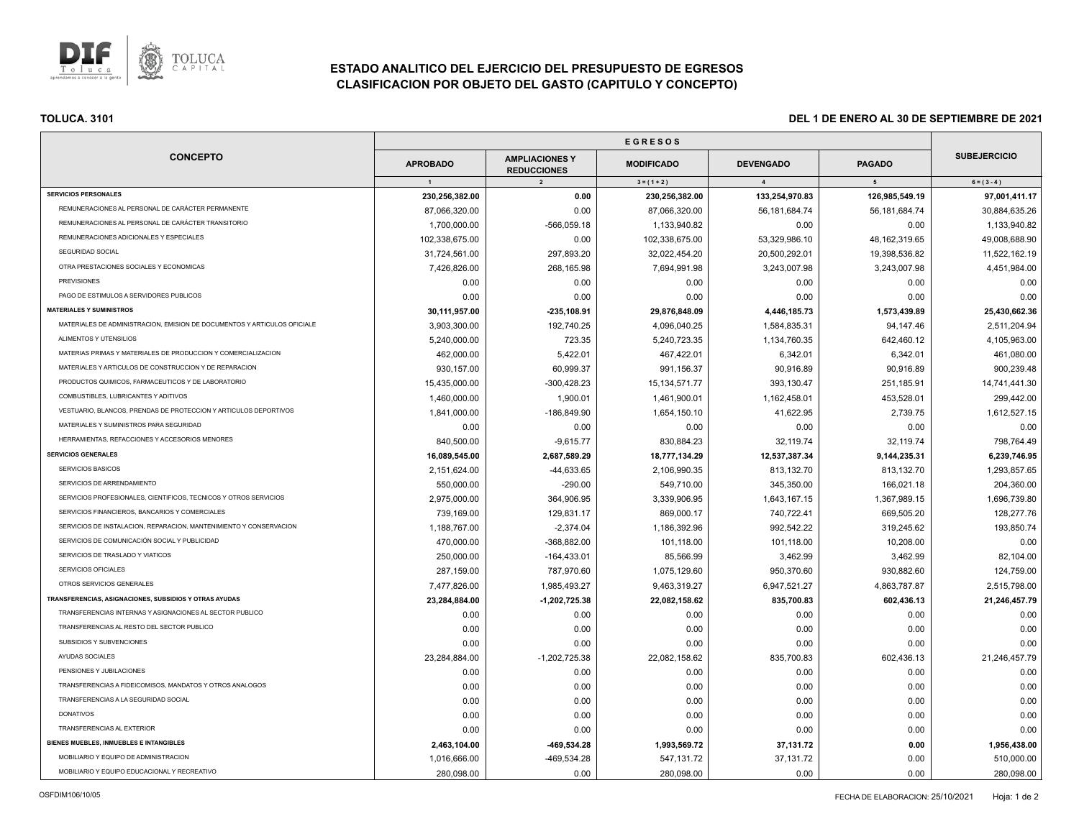

# **ESTADO ANALITICO DEL EJERCICIO DEL PRESUPUESTO DE EGRESOS CLASIFICACION POR OBJETO DEL GASTO (CAPITULO Y CONCEPTO)**

| <b>CONCEPTO</b>                                                          |                 |                                             |                   |                  |                  |                     |
|--------------------------------------------------------------------------|-----------------|---------------------------------------------|-------------------|------------------|------------------|---------------------|
|                                                                          | <b>APROBADO</b> | <b>AMPLIACIONES Y</b><br><b>REDUCCIONES</b> | <b>MODIFICADO</b> | <b>DEVENGADO</b> | <b>PAGADO</b>    | <b>SUBEJERCICIO</b> |
|                                                                          | $\overline{1}$  | $\overline{2}$                              | $3 = (1 + 2)$     | $\overline{4}$   | 5 <sub>5</sub>   | $6 = (3 - 4)$       |
| <b>SERVICIOS PERSONALES</b>                                              | 230,256,382.00  | 0.00                                        | 230,256,382.00    | 133,254,970.83   | 126,985,549.19   | 97,001,411.17       |
| REMUNERACIONES AL PERSONAL DE CARÁCTER PERMANENTE                        | 87,066,320.00   | 0.00                                        | 87,066,320.00     | 56, 181, 684. 74 | 56, 181, 684. 74 | 30,884,635.26       |
| REMUNERACIONES AL PERSONAL DE CARÁCTER TRANSITORIO                       | 1,700,000.00    | $-566,059.18$                               | 1,133,940.82      | 0.00             | 0.00             | 1,133,940.82        |
| REMUNERACIONES ADICIONALES Y ESPECIALES                                  | 102,338,675.00  | 0.00                                        | 102,338,675.00    | 53,329,986.10    | 48, 162, 319.65  | 49,008,688.90       |
| SEGURIDAD SOCIAL                                                         | 31,724,561.00   | 297,893.20                                  | 32,022,454.20     | 20,500,292.01    | 19,398,536.82    | 11,522,162.19       |
| OTRA PRESTACIONES SOCIALES Y ECONOMICAS                                  | 7,426,826.00    | 268,165.98                                  | 7,694,991.98      | 3,243,007.98     | 3,243,007.98     | 4,451,984.00        |
| <b>PREVISIONES</b>                                                       | 0.00            | 0.00                                        | 0.00              | 0.00             | 0.00             | 0.00                |
| PAGO DE ESTIMULOS A SERVIDORES PUBLICOS                                  | 0.00            | 0.00                                        | 0.00              | 0.00             | 0.00             | 0.00                |
| <b>MATERIALES Y SUMINISTROS</b>                                          | 30,111,957.00   | $-235, 108.91$                              | 29,876,848.09     | 4,446,185.73     | 1,573,439.89     | 25,430,662.36       |
| MATERIALES DE ADMINISTRACION, EMISION DE DOCUMENTOS Y ARTICULOS OFICIALE | 3,903,300.00    | 192,740.25                                  | 4,096,040.25      | 1,584,835.31     | 94,147.46        | 2,511,204.94        |
| ALIMENTOS Y UTENSILIOS                                                   | 5,240,000.00    | 723.35                                      | 5,240,723.35      | 1,134,760.35     | 642,460.12       | 4,105,963.00        |
| MATERIAS PRIMAS Y MATERIALES DE PRODUCCION Y COMERCIALIZACION            | 462,000.00      | 5,422.01                                    | 467,422.01        | 6,342.01         | 6,342.01         | 461,080.00          |
| MATERIALES Y ARTICULOS DE CONSTRUCCION Y DE REPARACION                   | 930,157.00      | 60,999.37                                   | 991,156.37        | 90,916.89        | 90,916.89        | 900,239.48          |
| PRODUCTOS QUIMICOS, FARMACEUTICOS Y DE LABORATORIO                       | 15,435,000.00   | $-300,428.23$                               | 15, 134, 571. 77  | 393,130.47       | 251,185.91       | 14,741,441.30       |
| COMBUSTIBLES, LUBRICANTES Y ADITIVOS                                     | 1,460,000.00    | 1,900.01                                    | 1,461,900.01      | 1,162,458.01     | 453,528.01       | 299,442.00          |
| VESTUARIO, BLANCOS, PRENDAS DE PROTECCION Y ARTICULOS DEPORTIVOS         | 1,841,000.00    | -186,849.90                                 | 1,654,150.10      | 41,622.95        | 2,739.75         | 1,612,527.15        |
| MATERIALES Y SUMINISTROS PARA SEGURIDAD                                  | 0.00            | 0.00                                        | 0.00              | 0.00             | 0.00             | 0.00                |
| HERRAMIENTAS, REFACCIONES Y ACCESORIOS MENORES                           | 840,500.00      | $-9,615.77$                                 | 830,884.23        | 32,119.74        | 32,119.74        | 798,764.49          |
| <b>SERVICIOS GENERALES</b>                                               | 16,089,545.00   | 2,687,589.29                                | 18,777,134.29     | 12,537,387.34    | 9,144,235.31     | 6,239,746.95        |
| SERVICIOS BASICOS                                                        | 2,151,624.00    | $-44,633.65$                                | 2,106,990.35      | 813,132.70       | 813,132.70       | 1,293,857.65        |
| SERVICIOS DE ARRENDAMIENTO                                               | 550,000.00      | $-290.00$                                   | 549,710.00        | 345,350.00       | 166,021.18       | 204,360.00          |
| SERVICIOS PROFESIONALES, CIENTIFICOS, TECNICOS Y OTROS SERVICIOS         | 2,975,000.00    | 364,906.95                                  | 3,339,906.95      | 1,643,167.15     | 1,367,989.15     | 1,696,739.80        |
| SERVICIOS FINANCIEROS, BANCARIOS Y COMERCIALES                           | 739,169.00      | 129,831.17                                  | 869,000.17        | 740,722.41       | 669,505.20       | 128,277.76          |
| SERVICIOS DE INSTALACION, REPARACION, MANTENIMIENTO Y CONSERVACION       | 1,188,767.00    | $-2,374.04$                                 | 1,186,392.96      | 992,542.22       | 319,245.62       | 193,850.74          |
| SERVICIOS DE COMUNICACIÓN SOCIAL Y PUBLICIDAD                            | 470,000.00      | -368,882.00                                 | 101,118.00        | 101,118.00       | 10,208.00        | 0.00                |
| SERVICIOS DE TRASLADO Y VIATICOS                                         | 250,000.00      | $-164,433.01$                               | 85,566.99         | 3,462.99         | 3,462.99         | 82,104.00           |
| SERVICIOS OFICIALES                                                      | 287,159.00      | 787,970.60                                  | 1,075,129.60      | 950,370.60       | 930,882.60       | 124,759.00          |
| OTROS SERVICIOS GENERALES                                                | 7,477,826.00    | 1,985,493.27                                | 9,463,319.27      | 6,947,521.27     | 4,863,787.87     | 2,515,798.00        |
| TRANSFERENCIAS, ASIGNACIONES, SUBSIDIOS Y OTRAS AYUDAS                   | 23,284,884.00   | $-1,202,725.38$                             | 22,082,158.62     | 835,700.83       | 602,436.13       | 21,246,457.79       |
| TRANSFERENCIAS INTERNAS Y ASIGNACIONES AL SECTOR PUBLICO                 | 0.00            | 0.00                                        | 0.00              | 0.00             | 0.00             | 0.00                |
| TRANSFERENCIAS AL RESTO DEL SECTOR PUBLICO                               | 0.00            | 0.00                                        | 0.00              | 0.00             | 0.00             | 0.00                |
| SUBSIDIOS Y SUBVENCIONES                                                 | 0.00            | 0.00                                        | 0.00              | 0.00             | 0.00             | 0.00                |
| <b>AYUDAS SOCIALES</b>                                                   | 23,284,884.00   | $-1,202,725.38$                             | 22,082,158.62     | 835,700.83       | 602,436.13       | 21,246,457.79       |
| PENSIONES Y JUBILACIONES                                                 | 0.00            | 0.00                                        | 0.00              | 0.00             | 0.00             | 0.00                |
| TRANSFERENCIAS A FIDEICOMISOS, MANDATOS Y OTROS ANALOGOS                 | 0.00            | 0.00                                        | 0.00              | 0.00             | 0.00             | 0.00                |
| TRANSFERENCIAS A LA SEGURIDAD SOCIAL                                     | 0.00            | 0.00                                        | 0.00              | 0.00             | 0.00             | 0.00                |
| <b>DONATIVOS</b>                                                         | 0.00            | 0.00                                        | 0.00              | 0.00             | 0.00             | 0.00                |
| <b>TRANSFERENCIAS AL EXTERIOR</b>                                        | 0.00            | 0.00                                        | 0.00              | 0.00             | 0.00             | 0.00                |
| BIENES MUEBLES, INMUEBLES E INTANGIBLES                                  | 2,463,104.00    | -469,534.28                                 | 1,993,569.72      | 37,131.72        | 0.00             | 1,956,438.00        |
| MOBILIARIO Y EQUIPO DE ADMINISTRACION                                    | 1,016,666.00    | -469,534.28                                 | 547,131.72        | 37,131.72        | 0.00             | 510,000.00          |
| MOBILIARIO Y EQUIPO EDUCACIONAL Y RECREATIVO                             | 280,098.00      | 0.00                                        | 280,098.00        | 0.00             | 0.00             | 280,098.00          |